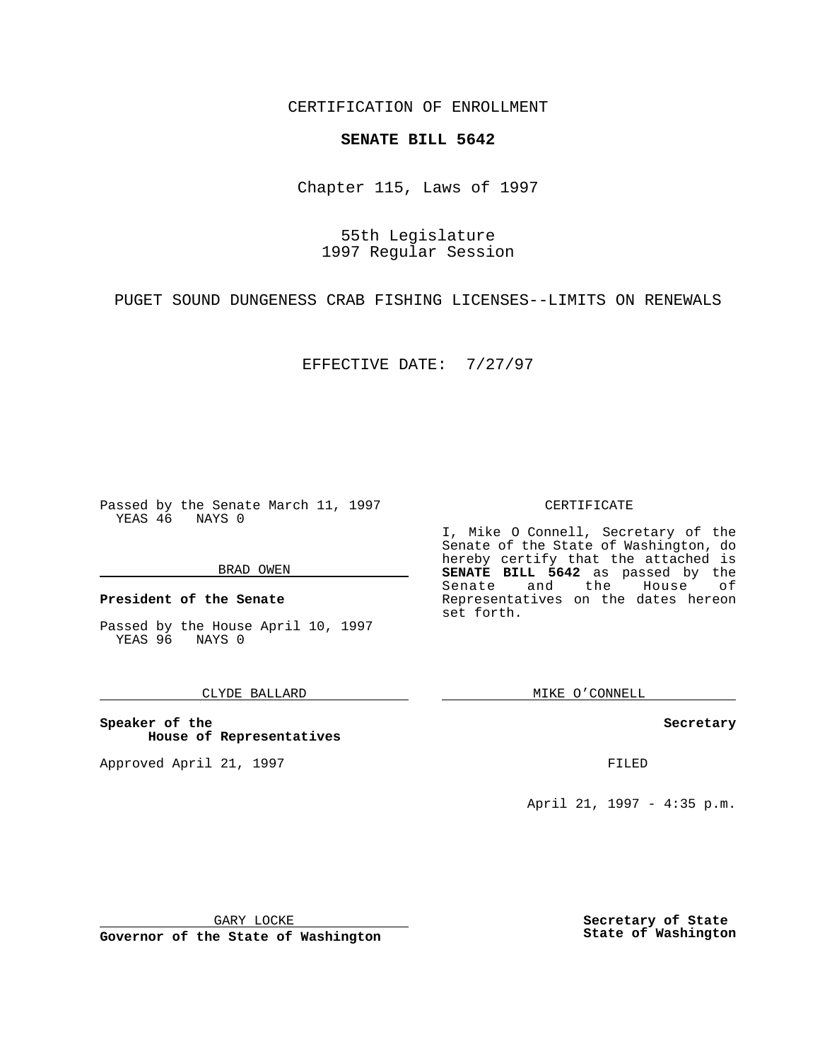CERTIFICATION OF ENROLLMENT

## **SENATE BILL 5642**

Chapter 115, Laws of 1997

55th Legislature 1997 Regular Session

PUGET SOUND DUNGENESS CRAB FISHING LICENSES--LIMITS ON RENEWALS

EFFECTIVE DATE: 7/27/97

Passed by the Senate March 11, 1997 YEAS 46 NAYS 0

#### BRAD OWEN

**President of the Senate**

Passed by the House April 10, 1997 YEAS 96 NAYS 0

#### CLYDE BALLARD

**Speaker of the House of Representatives**

Approved April 21, 1997 **FILED** 

#### CERTIFICATE

I, Mike O Connell, Secretary of the Senate of the State of Washington, do hereby certify that the attached is **SENATE BILL 5642** as passed by the Senate and the House of Representatives on the dates hereon set forth.

MIKE O'CONNELL

#### **Secretary**

April 21, 1997 - 4:35 p.m.

GARY LOCKE

**Governor of the State of Washington**

**Secretary of State State of Washington**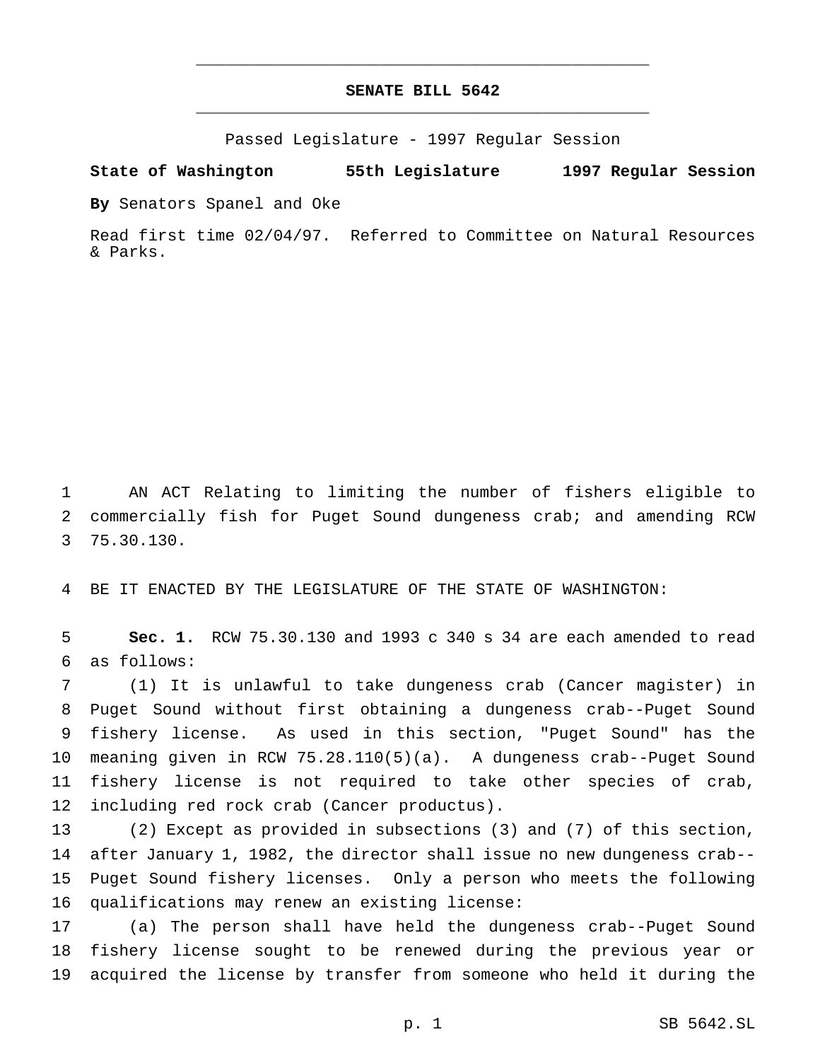# **SENATE BILL 5642** \_\_\_\_\_\_\_\_\_\_\_\_\_\_\_\_\_\_\_\_\_\_\_\_\_\_\_\_\_\_\_\_\_\_\_\_\_\_\_\_\_\_\_\_\_\_\_

\_\_\_\_\_\_\_\_\_\_\_\_\_\_\_\_\_\_\_\_\_\_\_\_\_\_\_\_\_\_\_\_\_\_\_\_\_\_\_\_\_\_\_\_\_\_\_

Passed Legislature - 1997 Regular Session

### **State of Washington 55th Legislature 1997 Regular Session**

**By** Senators Spanel and Oke

Read first time 02/04/97. Referred to Committee on Natural Resources & Parks.

 AN ACT Relating to limiting the number of fishers eligible to commercially fish for Puget Sound dungeness crab; and amending RCW 75.30.130.

BE IT ENACTED BY THE LEGISLATURE OF THE STATE OF WASHINGTON:

 **Sec. 1.** RCW 75.30.130 and 1993 c 340 s 34 are each amended to read as follows:

 (1) It is unlawful to take dungeness crab (Cancer magister) in Puget Sound without first obtaining a dungeness crab--Puget Sound fishery license. As used in this section, "Puget Sound" has the meaning given in RCW 75.28.110(5)(a). A dungeness crab--Puget Sound fishery license is not required to take other species of crab, including red rock crab (Cancer productus).

 (2) Except as provided in subsections (3) and (7) of this section, after January 1, 1982, the director shall issue no new dungeness crab-- Puget Sound fishery licenses. Only a person who meets the following qualifications may renew an existing license:

 (a) The person shall have held the dungeness crab--Puget Sound fishery license sought to be renewed during the previous year or acquired the license by transfer from someone who held it during the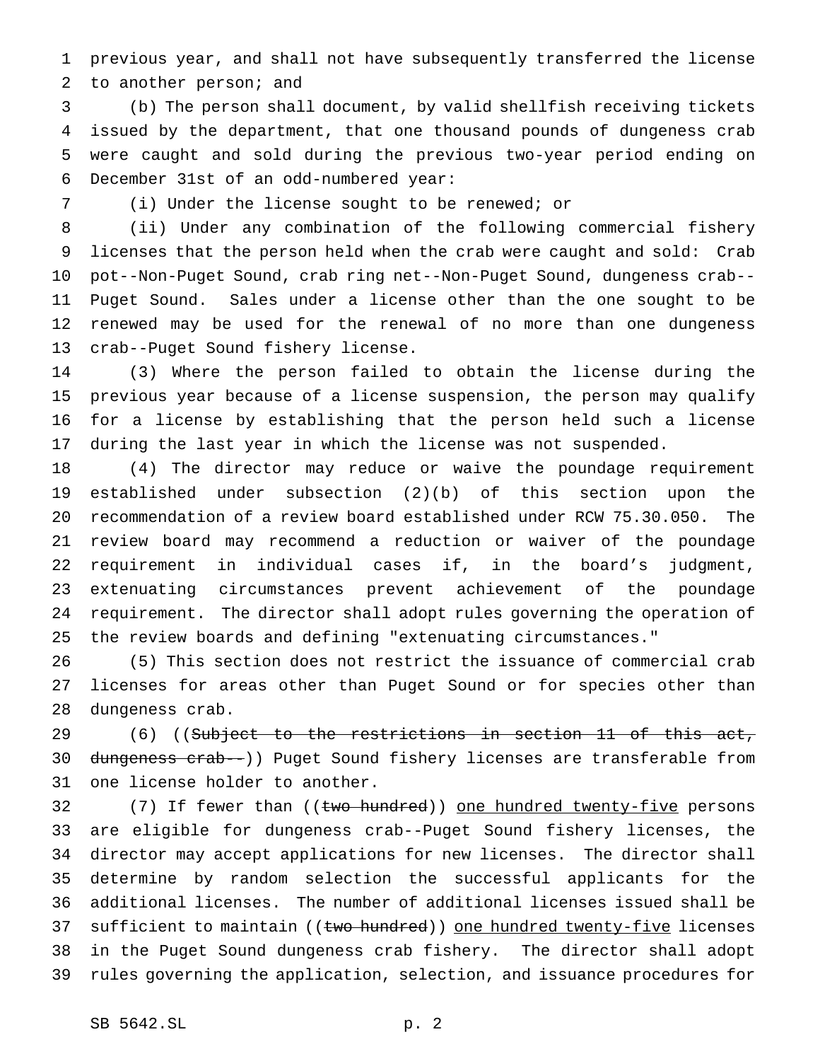previous year, and shall not have subsequently transferred the license to another person; and

 (b) The person shall document, by valid shellfish receiving tickets issued by the department, that one thousand pounds of dungeness crab were caught and sold during the previous two-year period ending on December 31st of an odd-numbered year:

(i) Under the license sought to be renewed; or

 (ii) Under any combination of the following commercial fishery licenses that the person held when the crab were caught and sold: Crab pot--Non-Puget Sound, crab ring net--Non-Puget Sound, dungeness crab-- Puget Sound. Sales under a license other than the one sought to be renewed may be used for the renewal of no more than one dungeness crab--Puget Sound fishery license.

 (3) Where the person failed to obtain the license during the previous year because of a license suspension, the person may qualify for a license by establishing that the person held such a license during the last year in which the license was not suspended.

 (4) The director may reduce or waive the poundage requirement established under subsection (2)(b) of this section upon the recommendation of a review board established under RCW 75.30.050. The review board may recommend a reduction or waiver of the poundage requirement in individual cases if, in the board's judgment, extenuating circumstances prevent achievement of the poundage requirement. The director shall adopt rules governing the operation of the review boards and defining "extenuating circumstances."

 (5) This section does not restrict the issuance of commercial crab licenses for areas other than Puget Sound or for species other than dungeness crab.

29 (6) ((Subject to the restrictions in section 11 of this act, 30 dungeness crab--)) Puget Sound fishery licenses are transferable from one license holder to another.

32 (7) If fewer than ((two hundred)) one hundred twenty-five persons are eligible for dungeness crab--Puget Sound fishery licenses, the director may accept applications for new licenses. The director shall determine by random selection the successful applicants for the additional licenses. The number of additional licenses issued shall be 37 sufficient to maintain ((two hundred)) one hundred twenty-five licenses in the Puget Sound dungeness crab fishery. The director shall adopt rules governing the application, selection, and issuance procedures for